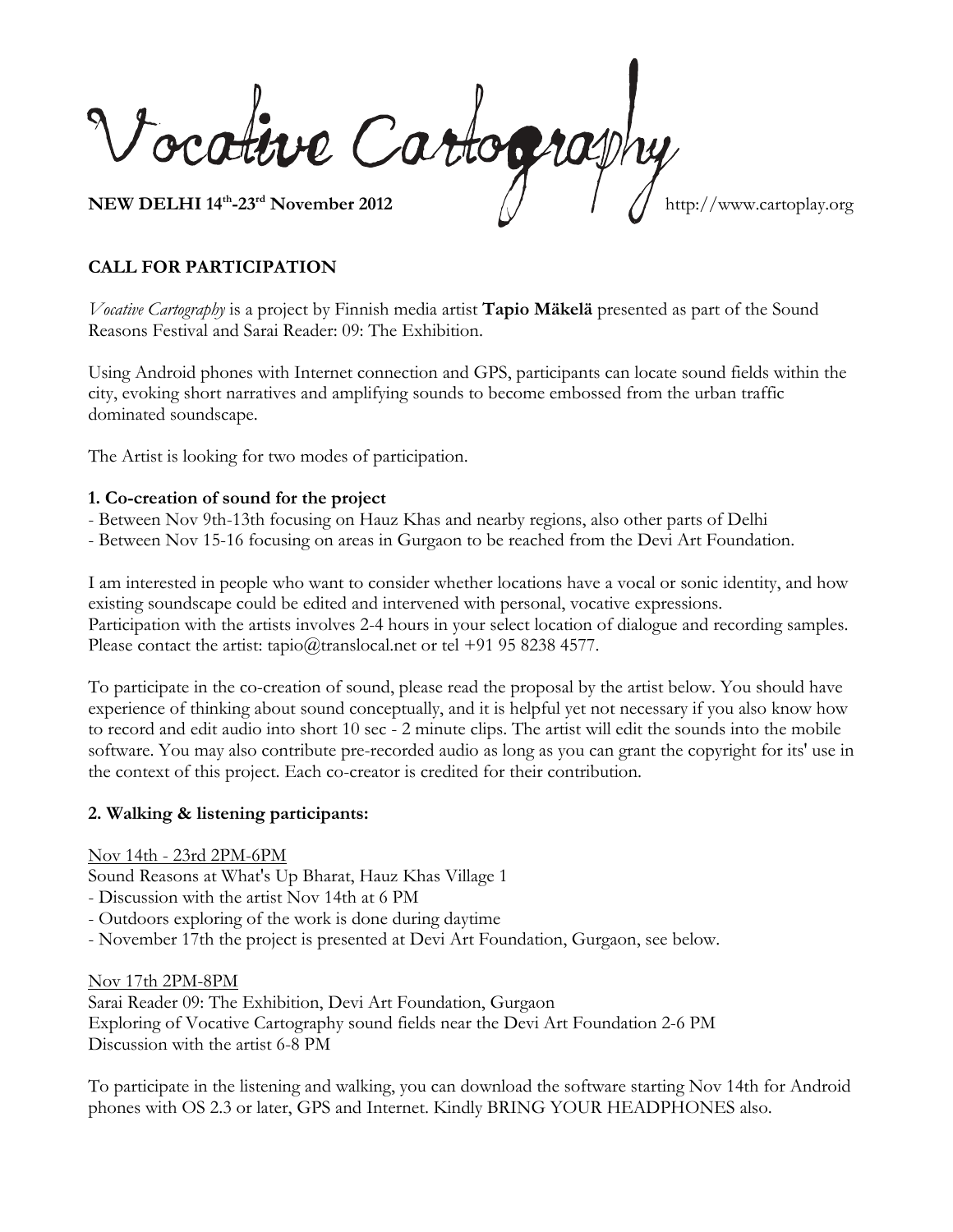Focative Cartogras **NEW DELHI 14<sup>th</sup>-23<sup>rd</sup> November 2012** // // http://www.cartoplay.org

## **CALL FOR PARTICIPATION**

*Vocative Cartography* is a project by Finnish media artist **Tapio Mäkelä** presented as part of the Sound Reasons Festival and Sarai Reader: 09: The Exhibition.

Using Android phones with Internet connection and GPS, participants can locate sound fields within the city, evoking short narratives and amplifying sounds to become embossed from the urban traffic dominated soundscape.

The Artist is looking for two modes of participation.

#### **1. Co-creation of sound for the project**

- Between Nov 9th-13th focusing on Hauz Khas and nearby regions, also other parts of Delhi
- Between Nov 15-16 focusing on areas in Gurgaon to be reached from the Devi Art Foundation.

I am interested in people who want to consider whether locations have a vocal or sonic identity, and how existing soundscape could be edited and intervened with personal, vocative expressions. Participation with the artists involves 2-4 hours in your select location of dialogue and recording samples. Please contact the artist: tapio@translocal.net or tel +91 95 8238 4577.

To participate in the co-creation of sound, please read the proposal by the artist below. You should have experience of thinking about sound conceptually, and it is helpful yet not necessary if you also know how to record and edit audio into short 10 sec - 2 minute clips. The artist will edit the sounds into the mobile software. You may also contribute pre-recorded audio as long as you can grant the copyright for its' use in the context of this project. Each co-creator is credited for their contribution.

### **2. Walking & listening participants:**

#### Nov 14th - 23rd 2PM-6PM

Sound Reasons at What's Up Bharat, Hauz Khas Village 1

- Discussion with the artist Nov 14th at 6 PM
- Outdoors exploring of the work is done during daytime
- November 17th the project is presented at Devi Art Foundation, Gurgaon, see below.

#### Nov 17th 2PM-8PM

Sarai Reader 09: The Exhibition, Devi Art Foundation, Gurgaon Exploring of Vocative Cartography sound fields near the Devi Art Foundation 2-6 PM Discussion with the artist 6-8 PM

To participate in the listening and walking, you can download the software starting Nov 14th for Android phones with OS 2.3 or later, GPS and Internet. Kindly BRING YOUR HEADPHONES also.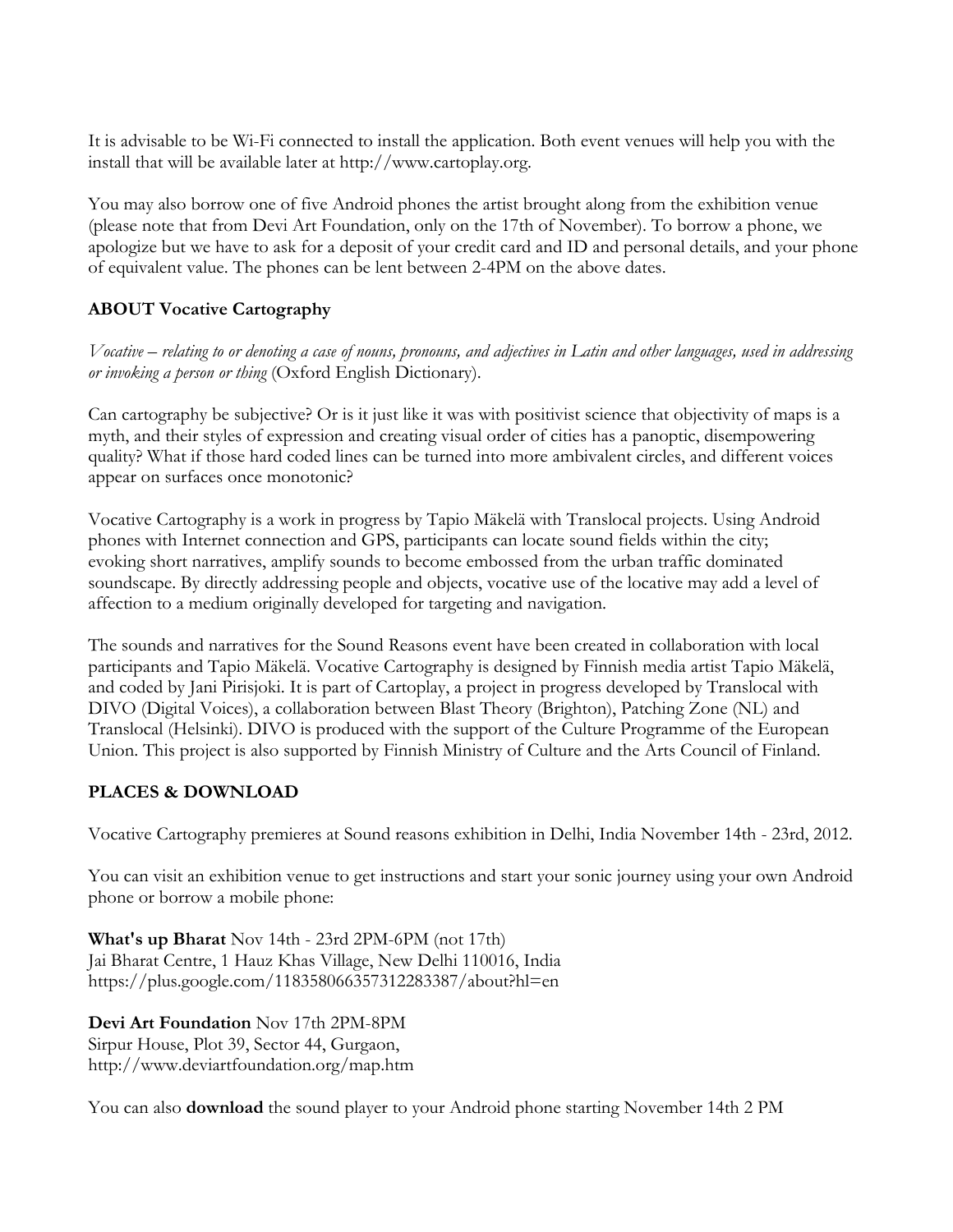It is advisable to be Wi-Fi connected to install the application. Both event venues will help you with the install that will be available later at http://www.cartoplay.org.

You may also borrow one of five Android phones the artist brought along from the exhibition venue (please note that from Devi Art Foundation, only on the 17th of November). To borrow a phone, we apologize but we have to ask for a deposit of your credit card and ID and personal details, and your phone of equivalent value. The phones can be lent between 2-4PM on the above dates.

## **ABOUT Vocative Cartography**

*Vocative – relating to or denoting a case of nouns, pronouns, and adjectives in Latin and other languages, used in addressing or invoking a person or thing* (Oxford English Dictionary).

Can cartography be subjective? Or is it just like it was with positivist science that objectivity of maps is a myth, and their styles of expression and creating visual order of cities has a panoptic, disempowering quality? What if those hard coded lines can be turned into more ambivalent circles, and different voices appear on surfaces once monotonic?

Vocative Cartography is a work in progress by Tapio Mäkelä with Translocal projects. Using Android phones with Internet connection and GPS, participants can locate sound fields within the city; evoking short narratives, amplify sounds to become embossed from the urban traffic dominated soundscape. By directly addressing people and objects, vocative use of the locative may add a level of affection to a medium originally developed for targeting and navigation.

The sounds and narratives for the Sound Reasons event have been created in collaboration with local participants and Tapio Mäkelä. Vocative Cartography is designed by Finnish media artist Tapio Mäkelä, and coded by Jani Pirisjoki. It is part of Cartoplay, a project in progress developed by Translocal with DIVO (Digital Voices), a collaboration between Blast Theory (Brighton), Patching Zone (NL) and Translocal (Helsinki). DIVO is produced with the support of the Culture Programme of the European Union. This project is also supported by Finnish Ministry of Culture and the Arts Council of Finland.

### **PLACES & DOWNLOAD**

Vocative Cartography premieres at Sound reasons exhibition in Delhi, India November 14th - 23rd, 2012.

You can visit an exhibition venue to get instructions and start your sonic journey using your own Android phone or borrow a mobile phone:

**What's up Bharat** Nov 14th - 23rd 2PM-6PM (not 17th) Jai Bharat Centre, 1 Hauz Khas Village, New Delhi 110016, India https://plus.google.com/118358066357312283387/about?hl=en

**Devi Art Foundation** Nov 17th 2PM-8PM Sirpur House, Plot 39, Sector 44, Gurgaon, http://www.deviartfoundation.org/map.htm

You can also **download** the sound player to your Android phone starting November 14th 2 PM